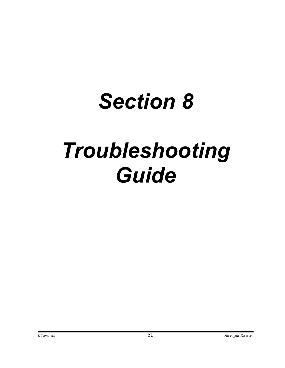## *Section 8*

## *Troubleshooting Guide*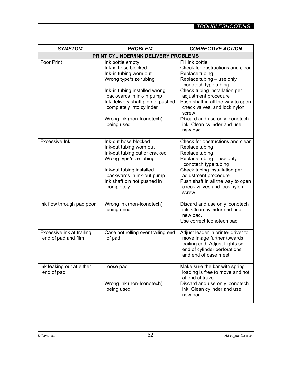| <b>SYMPTOM</b>                                   | <b>PROBLEM</b>                                                                                                                                                                                                                                                       | <b>CORRECTIVE ACTION</b>                                                                                                                                                                                                                                                                                                                        |  |
|--------------------------------------------------|----------------------------------------------------------------------------------------------------------------------------------------------------------------------------------------------------------------------------------------------------------------------|-------------------------------------------------------------------------------------------------------------------------------------------------------------------------------------------------------------------------------------------------------------------------------------------------------------------------------------------------|--|
| PRINT CYLINDER/INK DELIVERY PROBLEMS             |                                                                                                                                                                                                                                                                      |                                                                                                                                                                                                                                                                                                                                                 |  |
| Poor Print                                       | Ink bottle empty<br>Ink-in hose blocked<br>Ink-in tubing worn out<br>Wrong type/size tubing<br>Ink-in tubing installed wrong<br>backwards in ink-in pump<br>Ink delivery shaft pin not pushed<br>completely into cylinder<br>Wrong ink (non-Iconotech)<br>being used | Fill ink bottle<br>Check for obstructions and clear<br>Replace tubing<br>Replace tubing - use only<br>Iconotech type tubing<br>Check tubing installation per<br>adjustment procedure<br>Push shaft in all the way to open<br>check valves, and lock nylon<br>screw<br>Discard and use only Iconotech<br>ink. Clean cylinder and use<br>new pad. |  |
| <b>Excessive Ink</b>                             | Ink-out hose blocked<br>Ink-out tubing worn out<br>Ink-out tubing cut or cracked<br>Wrong type/size tubing<br>Ink-out tubing installed<br>backwards in ink-out pump<br>Ink shaft pin not pushed in<br>completely                                                     | Check for obstructions and clear<br>Replace tubing<br>Replace tubing<br>Replace tubing - use only<br>Iconotech type tubing<br>Check tubing installation per<br>adjustment procedure<br>Push shaft in all the way to open<br>check valves and lock nylon<br>screw.                                                                               |  |
| Ink flow through pad poor                        | Wrong ink (non-Iconotech)<br>being used                                                                                                                                                                                                                              | Discard and use only Iconotech<br>ink. Clean cylinder and use<br>new pad.<br>Use correct Iconotech pad                                                                                                                                                                                                                                          |  |
| Excessive ink at trailing<br>end of pad and film | Case not rolling over trailing end<br>of pad                                                                                                                                                                                                                         | Adjust leader in printer driver to<br>move image further towards<br>trailing end. Adjust flights so<br>end of cylinder perforations<br>and end of case meet.                                                                                                                                                                                    |  |
| Ink leaking out at either<br>end of pad          | Loose pad<br>Wrong ink (non-Iconotech)<br>being used                                                                                                                                                                                                                 | Make sure the bar with spring<br>loading is free to move and not<br>at end of travel<br>Discard and use only Iconotech<br>ink. Clean cylinder and use<br>new pad.                                                                                                                                                                               |  |